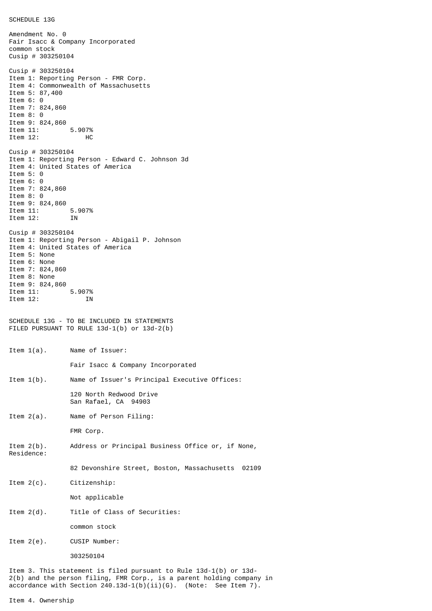SCHEDULE 13G

Amendment No. 0 Fair Isacc & Company Incorporated common stock Cusip # 303250104 Cusip # 303250104 Item 1: Reporting Person - FMR Corp. Item 4: Commonwealth of Massachusetts Item 5: 87,400 Item 6: 0 Item 7: 824,860 Item 8: 0 Item 9: 824,860<br>Item 11: 5.907% Item 11: Item 12: HC Cusip # 303250104 Item 1: Reporting Person - Edward C. Johnson 3d Item 4: United States of America Item 5: 0 Item 6: 0 Item 7: 824,860 Item 8: 0 Item 9: 824,860<br>Item 11: 5.907% Item 11: Item 12: IN Cusip # 303250104 Item 1: Reporting Person - Abigail P. Johnson Item 4: United States of America Item 5: None Item 6: None Item 7: 824,860 Item 8: None Item 9: 824,860<br>Item 11: 5.907% 1tem 11: 5.907%<br>Them 12: 5.907%  $Item 12$ : SCHEDULE 13G - TO BE INCLUDED IN STATEMENTS FILED PURSUANT TO RULE 13d-1(b) or 13d-2(b) Item 1(a). Name of Issuer: Fair Isacc & Company Incorporated Item 1(b). Name of Issuer's Principal Executive Offices: 120 North Redwood Drive San Rafael, CA 94903 Item 2(a). Name of Person Filing: FMR Corp. Item 2(b). Address or Principal Business Office or, if None, Residence: 82 Devonshire Street, Boston, Massachusetts 02109 Item 2(c). Citizenship: Not applicable Item 2(d). Title of Class of Securities: common stock Item 2(e). CUSIP Number: 303250104 Item 3. This statement is filed pursuant to Rule 13d-1(b) or 13d-2(b) and the person filing, FMR Corp., is a parent holding company in

accordance with Section  $240.13d-1(b)(ii)(G)$ . (Note: See Item 7).

Item 4. Ownership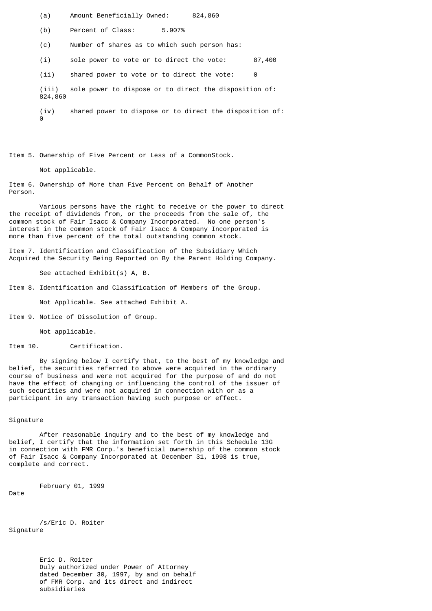(a) Amount Beneficially Owned: 824,860

(b) Percent of Class: 5.907%

(c) Number of shares as to which such person has:

(i) sole power to vote or to direct the vote: 87,400

(ii) shared power to vote or to direct the vote: 0

(iii) sole power to dispose or to direct the disposition of: 824,860

(iv) shared power to dispose or to direct the disposition of:  $\ddot{\Theta}$ 

Item 5. Ownership of Five Percent or Less of a CommonStock.

Not applicable.

Item 6. Ownership of More than Five Percent on Behalf of Another Person.

Various persons have the right to receive or the power to direct the receipt of dividends from, or the proceeds from the sale of, the common stock of Fair Isacc & Company Incorporated. No one person's interest in the common stock of Fair Isacc & Company Incorporated is more than five percent of the total outstanding common stock.

Item 7. Identification and Classification of the Subsidiary Which Acquired the Security Being Reported on By the Parent Holding Company.

See attached Exhibit(s) A, B.

Item 8. Identification and Classification of Members of the Group.

Not Applicable. See attached Exhibit A.

Item 9. Notice of Dissolution of Group.

Not applicable.

Item 10. Certification.

By signing below I certify that, to the best of my knowledge and belief, the securities referred to above were acquired in the ordinary course of business and were not acquired for the purpose of and do not have the effect of changing or influencing the control of the issuer of such securities and were not acquired in connection with or as a participant in any transaction having such purpose or effect.

## Signature

After reasonable inquiry and to the best of my knowledge and belief, I certify that the information set forth in this Schedule 13G in connection with FMR Corp.'s beneficial ownership of the common stock of Fair Isacc & Company Incorporated at December 31, 1998 is true, complete and correct.

February 01, 1999

Date

/s/Eric D. Roiter Signature

> Eric D. Roiter Duly authorized under Power of Attorney dated December 30, 1997, by and on behalf of FMR Corp. and its direct and indirect subsidiaries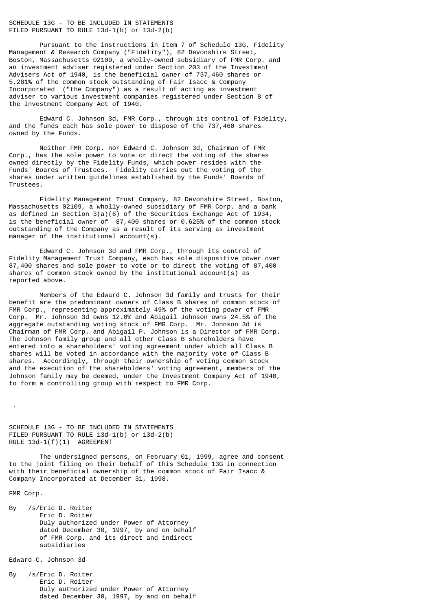## SCHEDULE 13G - TO BE INCLUDED IN STATEMENTS FILED PURSUANT TO RULE 13d-1(b) or 13d-2(b)

Pursuant to the instructions in Item 7 of Schedule 13G, Fidelity Management & Research Company ("Fidelity"), 82 Devonshire Street, Boston, Massachusetts 02109, a wholly-owned subsidiary of FMR Corp. and an investment adviser registered under Section 203 of the Investment Advisers Act of 1940, is the beneficial owner of 737,460 shares or 5.281% of the common stock outstanding of Fair Isacc & Company Incorporated ("the Company") as a result of acting as investment adviser to various investment companies registered under Section 8 of the Investment Company Act of 1940.

Edward C. Johnson 3d, FMR Corp., through its control of Fidelity, and the funds each has sole power to dispose of the 737,460 shares owned by the Funds.

Neither FMR Corp. nor Edward C. Johnson 3d, Chairman of FMR Corp., has the sole power to vote or direct the voting of the shares owned directly by the Fidelity Funds, which power resides with the Funds' Boards of Trustees. Fidelity carries out the voting of the shares under written guidelines established by the Funds' Boards of Trustees.

Fidelity Management Trust Company, 82 Devonshire Street, Boston, Massachusetts 02109, a wholly-owned subsidiary of FMR Corp. and a bank as defined in Section  $3(a)(6)$  of the Securities Exchange Act of 1934, is the beneficial owner of 87,400 shares or 0.625% of the common stock outstanding of the Company as a result of its serving as investment manager of the institutional account(s).

Edward C. Johnson 3d and FMR Corp., through its control of Fidelity Management Trust Company, each has sole dispositive power over 87,400 shares and sole power to vote or to direct the voting of 87,400 shares of common stock owned by the institutional account(s) as reported above.

Members of the Edward C. Johnson 3d family and trusts for their benefit are the predominant owners of Class B shares of common stock of FMR Corp., representing approximately 49% of the voting power of FMR Corp. Mr. Johnson 3d owns 12.0% and Abigail Johnson owns 24.5% of the aggregate outstanding voting stock of FMR Corp. Mr. Johnson 3d is Chairman of FMR Corp. and Abigail P. Johnson is a Director of FMR Corp. The Johnson family group and all other Class B shareholders have entered into a shareholders' voting agreement under which all Class B shares will be voted in accordance with the majority vote of Class B shares. Accordingly, through their ownership of voting common stock and the execution of the shareholders' voting agreement, members of the Johnson family may be deemed, under the Investment Company Act of 1940, to form a controlling group with respect to FMR Corp.

SCHEDULE 13G - TO BE INCLUDED IN STATEMENTS FILED PURSUANT TO RULE 13d-1(b) or 13d-2(b) RULE 13d-1(f)(1) AGREEMENT

The undersigned persons, on February 01, 1999, agree and consent to the joint filing on their behalf of this Schedule 13G in connection with their beneficial ownership of the common stock of Fair Isacc & Company Incorporated at December 31, 1998.

FMR Corp.

.

By /s/Eric D. Roiter Eric D. Roiter Duly authorized under Power of Attorney dated December 30, 1997, by and on behalf of FMR Corp. and its direct and indirect subsidiaries

Edward C. Johnson 3d

By /s/Eric D. Roiter Eric D. Roiter Duly authorized under Power of Attorney dated December 30, 1997, by and on behalf